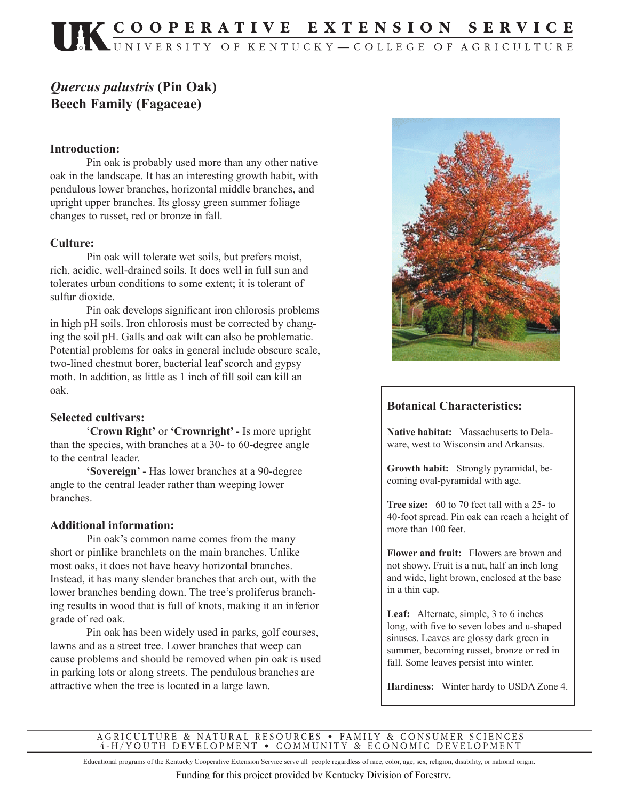# UK COOPERATIVE EXTENSION SERVICE

## *Quercus palustris* **(Pin Oak) Beech Family (Fagaceae)**

#### **Introduction:**

 Pin oak is probably used more than any other native oak in the landscape. It has an interesting growth habit, with pendulous lower branches, horizontal middle branches, and upright upper branches. Its glossy green summer foliage changes to russet, red or bronze in fall.

#### **Culture:**

 Pin oak will tolerate wet soils, but prefers moist, rich, acidic, well-drained soils. It does well in full sun and tolerates urban conditions to some extent; it is tolerant of sulfur dioxide.

Pin oak develops significant iron chlorosis problems in high pH soils. Iron chlorosis must be corrected by changing the soil pH. Galls and oak wilt can also be problematic. Potential problems for oaks in general include obscure scale, two-lined chestnut borer, bacterial leaf scorch and gypsy moth. In addition, as little as 1 inch of fill soil can kill an oak.

#### **Selected cultivars:**

 '**Crown Right'** or **'Crownright'** - Is more upright than the species, with branches at a 30- to 60-degree angle to the central leader.

**'Sovereign'** - Has lower branches at a 90-degree angle to the central leader rather than weeping lower branches.

#### **Additional information:**

 Pin oak's common name comes from the many short or pinlike branchlets on the main branches. Unlike most oaks, it does not have heavy horizontal branches. Instead, it has many slender branches that arch out, with the lower branches bending down. The tree's proliferus branching results in wood that is full of knots, making it an inferior grade of red oak.

 Pin oak has been widely used in parks, golf courses, lawns and as a street tree. Lower branches that weep can cause problems and should be removed when pin oak is used in parking lots or along streets. The pendulous branches are attractive when the tree is located in a large lawn.



### **Botanical Characteristics:**

**Native habitat:** Massachusetts to Delaware, west to Wisconsin and Arkansas.

**Growth habit:** Strongly pyramidal, becoming oval-pyramidal with age.

**Tree size:** 60 to 70 feet tall with a 25- to 40-foot spread. Pin oak can reach a height of more than 100 feet.

**Flower and fruit:** Flowers are brown and not showy. Fruit is a nut, half an inch long and wide, light brown, enclosed at the base in a thin cap.

**Leaf:** Alternate, simple, 3 to 6 inches long, with five to seven lobes and u-shaped sinuses. Leaves are glossy dark green in summer, becoming russet, bronze or red in fall. Some leaves persist into winter.

**Hardiness:** Winter hardy to USDA Zone 4.

AGRICULTURE & NATURAL RESOURCES • FAMILY & CONSUMER SCIENCES 4-H/YOUTH DEVELOPMENT • COMMUNITY & ECONOMIC DEVELOPMENT

Educational programs of the Kentucky Cooperative Extension Service serve all people regardless of race, color, age, sex, religion, disability, or national origin.

Funding for this project provided by Kentucky Division of Forestry.